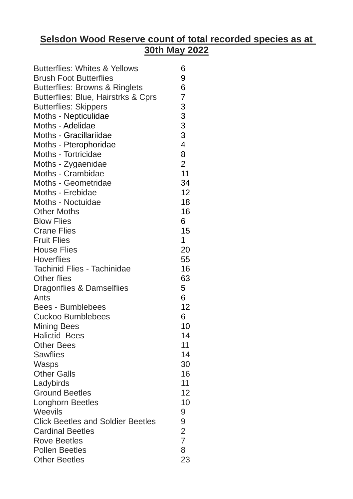## **Selsdon Wood Reserve count of total recorded species as at 30th May 2022**

| <b>Butterflies: Whites &amp; Yellows</b>  | 6                       |
|-------------------------------------------|-------------------------|
| <b>Brush Foot Butterflies</b>             | 9                       |
| <b>Butterflies: Browns &amp; Ringlets</b> | 6                       |
| Butterflies: Blue, Hairstrks & Cprs       | $\overline{7}$          |
| <b>Butterflies: Skippers</b>              | 3                       |
| Moths - Nepticulidae                      |                         |
| Moths - Adelidae                          | $\frac{3}{3}$           |
| Moths - Gracillariidae                    | $\overline{3}$          |
| Moths - Pterophoridae                     | $\overline{\mathbf{4}}$ |
| Moths - Tortricidae                       | 8                       |
| Moths - Zygaenidae                        | $\overline{2}$          |
| Moths - Crambidae                         | 11                      |
| Moths - Geometridae                       | 34                      |
| Moths - Erebidae                          | 12                      |
| Moths - Noctuidae                         | 18                      |
| <b>Other Moths</b>                        | 16                      |
| <b>Blow Flies</b>                         | 6                       |
| <b>Crane Flies</b>                        | 15                      |
| <b>Fruit Flies</b>                        | $\mathbf 1$             |
| <b>House Flies</b>                        | 20                      |
| <b>Hoverflies</b>                         | 55                      |
| <b>Tachinid Flies - Tachinidae</b>        | 16                      |
| <b>Other flies</b>                        | 63                      |
| Dragonflies & Damselflies                 | 5                       |
| Ants                                      | 6                       |
| <b>Bees - Bumblebees</b>                  | 12                      |
| <b>Cuckoo Bumblebees</b>                  | 6                       |
| <b>Mining Bees</b>                        | 10                      |
| <b>Halictid Bees</b>                      | 14                      |
| <b>Other Bees</b>                         | 11                      |
| <b>Sawflies</b>                           | 14                      |
| Wasps                                     | 30                      |
| <b>Other Galls</b>                        | 16                      |
| Ladybirds                                 | 11                      |
| <b>Ground Beetles</b>                     | 12                      |
| <b>Longhorn Beetles</b>                   | 10                      |
| Weevils                                   | 9                       |
| <b>Click Beetles and Soldier Beetles</b>  | 9                       |
| <b>Cardinal Beetles</b>                   | $\overline{2}$          |
| <b>Rove Beetles</b>                       | $\overline{7}$          |
| <b>Pollen Beetles</b>                     | 8                       |
| <b>Other Beetles</b>                      | 23                      |